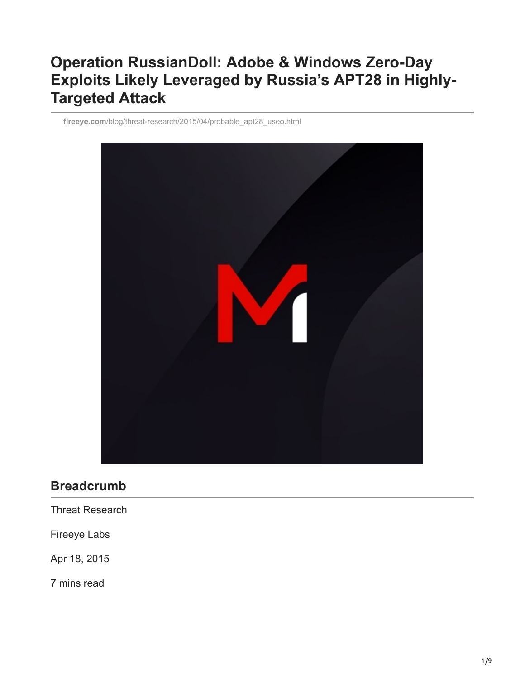# **Operation RussianDoll: Adobe & Windows Zero-Day Exploits Likely Leveraged by Russia's APT28 in Highly-Targeted Attack**

**fireeye.com**[/blog/threat-research/2015/04/probable\\_apt28\\_useo.html](https://www.fireeye.com/blog/threat-research/2015/04/probable_apt28_useo.html)



### **Breadcrumb**

Threat Research

Fireeye Labs

Apr 18, 2015

7 mins read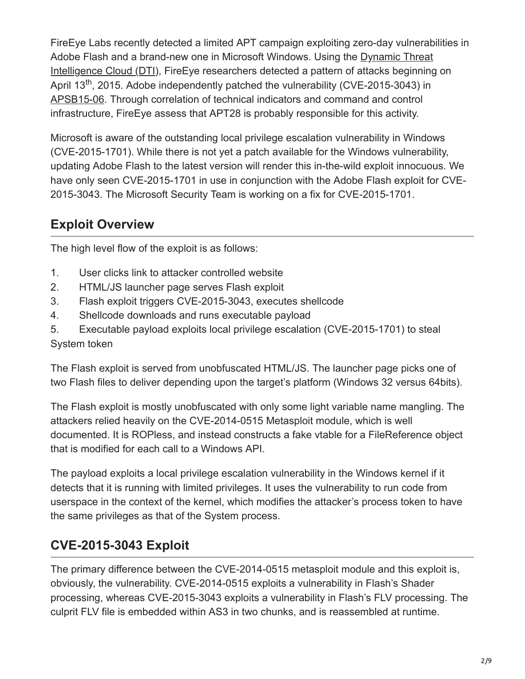FireEye Labs recently detected a limited APT campaign exploiting zero-day vulnerabilities in [Adobe Flash and a brand-new one in Microsoft Windows. Using the Dynamic Threat](https://www.fireeye.com/advantage/threat-intelligence) Intelligence Cloud (DTI), FireEye researchers detected a pattern of attacks beginning on April 13<sup>th</sup>, 2015. Adobe independently patched the vulnerability (CVE-2015-3043) in [APSB15-06.](https://helpx.adobe.com/security/products/flash-player/apsb15-06.html) Through correlation of technical indicators and command and control infrastructure, FireEye assess that APT28 is probably responsible for this activity.

Microsoft is aware of the outstanding local privilege escalation vulnerability in Windows (CVE-2015-1701). While there is not yet a patch available for the Windows vulnerability, updating Adobe Flash to the latest version will render this in-the-wild exploit innocuous. We have only seen CVE-2015-1701 in use in conjunction with the Adobe Flash exploit for CVE-2015-3043. The Microsoft Security Team is working on a fix for CVE-2015-1701.

## **Exploit Overview**

The high level flow of the exploit is as follows:

- 1. User clicks link to attacker controlled website
- 2. HTML/JS launcher page serves Flash exploit
- 3. Flash exploit triggers CVE-2015-3043, executes shellcode
- 4. Shellcode downloads and runs executable payload
- 5. Executable payload exploits local privilege escalation (CVE-2015-1701) to steal System token

The Flash exploit is served from unobfuscated HTML/JS. The launcher page picks one of two Flash files to deliver depending upon the target's platform (Windows 32 versus 64bits).

The Flash exploit is mostly unobfuscated with only some light variable name mangling. The attackers relied heavily on the CVE-2014-0515 Metasploit module, which is well documented. It is ROPless, and instead constructs a fake vtable for a FileReference object that is modified for each call to a Windows API.

The payload exploits a local privilege escalation vulnerability in the Windows kernel if it detects that it is running with limited privileges. It uses the vulnerability to run code from userspace in the context of the kernel, which modifies the attacker's process token to have the same privileges as that of the System process.

## **CVE-2015-3043 Exploit**

The primary difference between the CVE-2014-0515 metasploit module and this exploit is, obviously, the vulnerability. CVE-2014-0515 exploits a vulnerability in Flash's Shader processing, whereas CVE-2015-3043 exploits a vulnerability in Flash's FLV processing. The culprit FLV file is embedded within AS3 in two chunks, and is reassembled at runtime.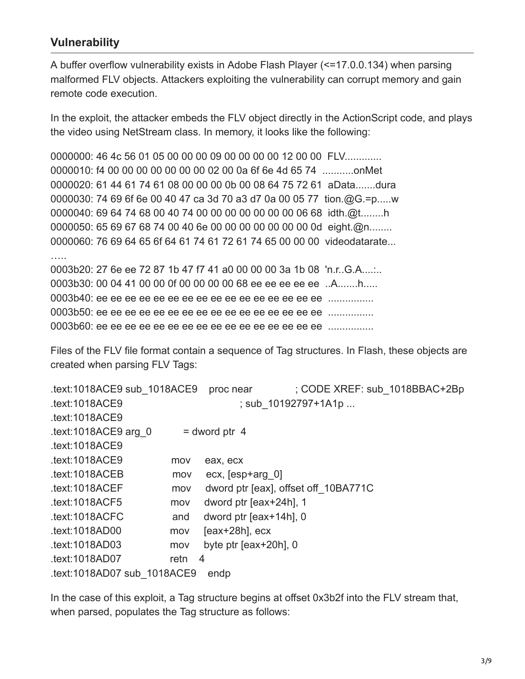#### **Vulnerability**

A buffer overflow vulnerability exists in Adobe Flash Player (<=17.0.0.134) when parsing malformed FLV objects. Attackers exploiting the vulnerability can corrupt memory and gain remote code execution.

In the exploit, the attacker embeds the FLV object directly in the ActionScript code, and plays the video using NetStream class. In memory, it looks like the following:

0000000: 46 4c 56 01 05 00 00 00 09 00 00 00 00 12 00 00 FLV............. 0000010: f4 00 00 00 00 00 00 00 02 00 0a 6f 6e 4d 65 74 ...........onMet 0000020: 61 44 61 74 61 08 00 00 00 0b 00 08 64 75 72 61 aData.......dura 0000030: 74 69 6f 6e 00 40 47 ca 3d 70 a3 d7 0a 00 05 77 tion.@G.=p.....w 0000040: 69 64 74 68 00 40 74 00 00 00 00 00 00 00 06 68 idth.@t........h 0000050: 65 69 67 68 74 00 40 6e 00 00 00 00 00 00 00 0d eight.@n........ 0000060: 76 69 64 65 6f 64 61 74 61 72 61 74 65 00 00 00 videodatarate... ….. 0003b20: 27 6e ee 72 87 1b 47 f7 41 a0 00 00 00 3a 1b 08 'n.r..G.A....:.. 0003b30: 00 04 41 00 00 0f 00 00 00 00 68 ee ee ee ee ee ..A.......h..... 0003b40: ee ee ee ee ee ee ee ee ee ee ee ee ee ee ee ee ................

0003b50: ee ee ee ee ee ee ee ee ee ee ee ee ee ee ee ee ................

0003b60: ee ee ee ee ee ee ee ee ee ee ee ee ee ee ee ee ................

Files of the FLV file format contain a sequence of Tag structures. In Flash, these objects are created when parsing FLV Tags:

| .text:1018ACE9 sub 1018ACE9         |      | proc near                            | ; CODE XREF: sub 1018BBAC+2Bp |  |  |
|-------------------------------------|------|--------------------------------------|-------------------------------|--|--|
| .text:1018ACE9                      |      |                                      | ; sub 10192797+1A1p           |  |  |
| .text:1018ACE9                      |      |                                      |                               |  |  |
| $text:1018ACE9$ arg 0               |      | $=$ dword ptr 4                      |                               |  |  |
| .text:1018ACE9                      |      |                                      |                               |  |  |
| .text:1018ACE9                      | mov  | eax, ecx                             |                               |  |  |
| .text:1018ACEB                      | mov  | ecx, [esp+arg 0]                     |                               |  |  |
| text:1018ACEF                       | mov  | dword ptr [eax], offset off 10BA771C |                               |  |  |
| .text:1018ACF5                      | mov  | dword ptr [eax+24h], 1               |                               |  |  |
| .text:1018ACFC                      | and  | dword ptr [eax+14h], 0               |                               |  |  |
| text:1018AD00.                      | mov  | $[eax+28h]$ , $ecx$                  |                               |  |  |
| .text:1018AD03                      | mov  | byte ptr $[ear+20h]0$                |                               |  |  |
| .text:1018AD07                      | retn | 4                                    |                               |  |  |
| .text:1018AD07 sub 1018ACE9<br>endp |      |                                      |                               |  |  |

In the case of this exploit, a Tag structure begins at offset 0x3b2f into the FLV stream that, when parsed, populates the Tag structure as follows: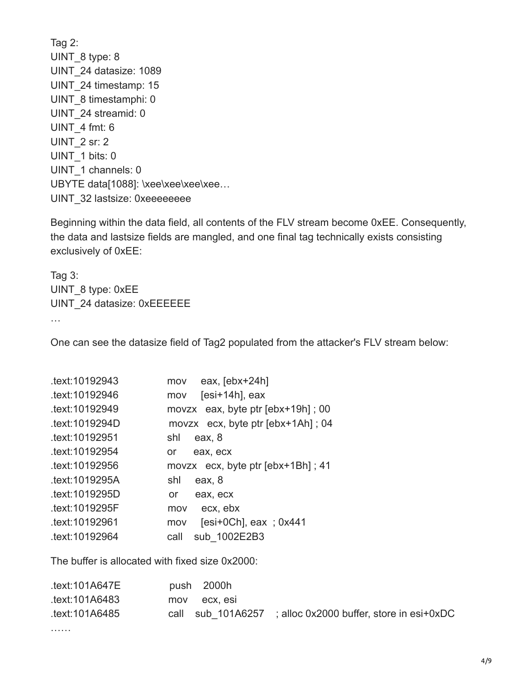Tag 2: UINT\_8 type: 8 UINT\_24 datasize: 1089 UINT\_24 timestamp: 15 UINT 8 timestamphi: 0 UINT\_24 streamid: 0 UINT\_4 fmt: 6 UINT 2 sr: 2 UINT\_1 bits: 0 UINT 1 channels: 0 UBYTE data[1088]: \xee\xee\xee\xee... UINT 32 lastsize: 0xeeeeeeee

Beginning within the data field, all contents of the FLV stream become 0xEE. Consequently, the data and lastsize fields are mangled, and one final tag technically exists consisting exclusively of 0xEE:

Tag 3: UINT\_8 type: 0xEE UINT\_24 datasize: 0xEEEEEE …

One can see the datasize field of Tag2 populated from the attacker's FLV stream below:

| eax, $[ebx+24h]$<br>mov              |
|--------------------------------------|
| $[esi+14h]$ , eax<br>mov             |
| movzx eax, byte ptr $[ebx+19h]$ ; 00 |
| movzx $ex, byte\, p$ [ebx+1Ah]; 04   |
| shl<br>eax, 8                        |
| eax, ecx<br>or                       |
| movzx $ex, byte\, p$ [ebx+1Bh]; 41   |
| shl<br>eax, 8                        |
| eax, ecx<br>or                       |
| ecx, ebx<br>mov                      |
| [esi+0Ch], eax ; $0x441$<br>mov      |
| sub 1002E2B3<br>call                 |
|                                      |

The buffer is allocated with fixed size 0x2000:

| .text:101A647E | push 2000h   |                                                              |
|----------------|--------------|--------------------------------------------------------------|
| text:101A6483. | mov ecx. esi |                                                              |
| text:101A6485. |              | call sub $101A6257$ ; alloc 0x2000 buffer, store in esi+0xDC |

………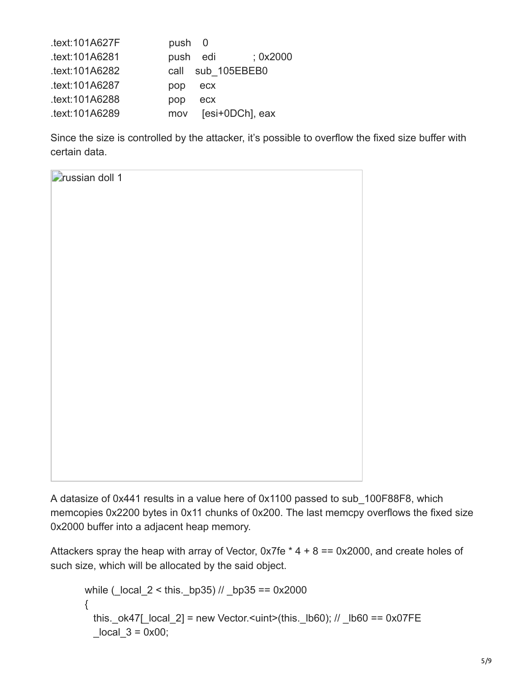| .text:101A627F | push 0                 |
|----------------|------------------------|
| .text:101A6281 | push edi<br>: 0x2000   |
| text:101A6282  | call sub 105EBEB0      |
| .text:101A6287 | pop<br>ecx             |
| .text:101A6288 | pop<br>ecx             |
| .text:101A6289 | [esi+0DCh], eax<br>mov |

Since the size is controlled by the attacker, it's possible to overflow the fixed size buffer with certain data.



A datasize of 0x441 results in a value here of 0x1100 passed to sub\_100F88F8, which memcopies 0x2200 bytes in 0x11 chunks of 0x200. The last memcpy overflows the fixed size 0x2000 buffer into a adjacent heap memory.

Attackers spray the heap with array of Vector,  $0x7fe * 4 + 8 == 0x2000$ , and create holes of such size, which will be allocated by the said object.

```
while (\log 2 < \text{this}. bp35) // \log 35 = 0x2000 {
 this. ok47[ local 2] = new Vector.<uint>(this. lb60); // lb60 == 0x07FE
 local 3 = 0x00;
```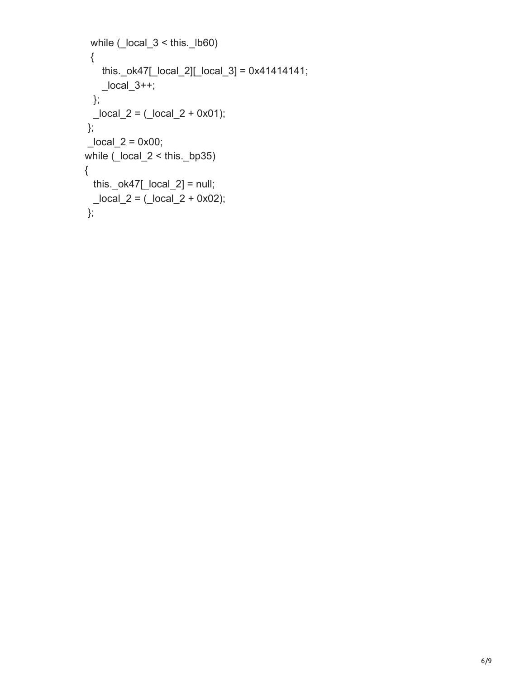```
while (_local_3 < this._lb60)
  {
     this._ok47[_local_2][_local_3] = 0x41414141;
    \anglelocal\angle3++;
   };
  \anglelocal\angle = (\anglelocal\angle 2 + 0x01);
 };
\lfloorlocal\lfloor2 = 0x00;
 while (_local_2 < this._bp35)
 {
  this._ok47[\lfloorlocal\lfloor2] = null;
  \anglelocal\angle = (\anglelocal\angle + 0x02);
 };
```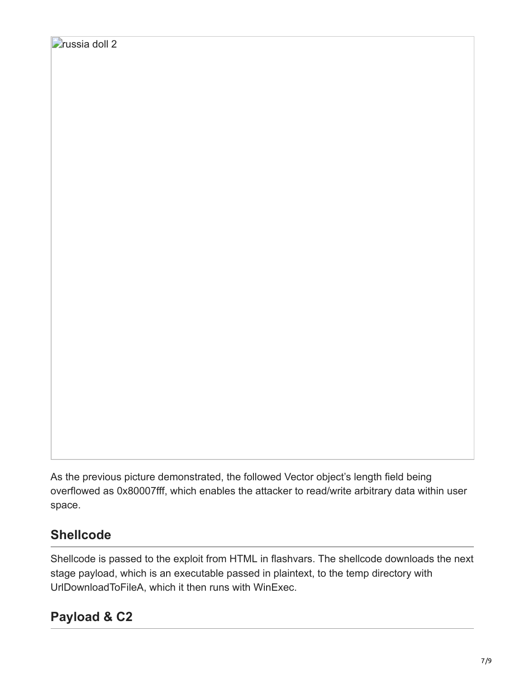As the previous picture demonstrated, the followed Vector object's length field being overflowed as 0x80007fff, which enables the attacker to read/write arbitrary data within user space.

## **Shellcode**

Shellcode is passed to the exploit from HTML in flashvars. The shellcode downloads the next stage payload, which is an executable passed in plaintext, to the temp directory with UrlDownloadToFileA, which it then runs with WinExec.

### **Payload & C2**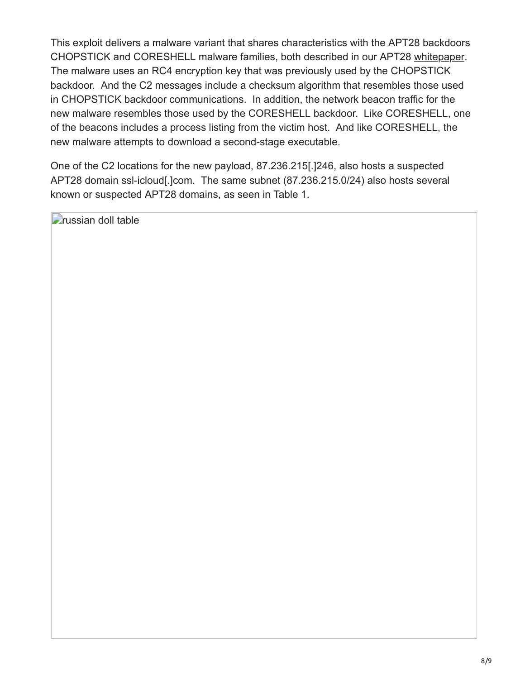This exploit delivers a malware variant that shares characteristics with the APT28 backdoors CHOPSTICK and CORESHELL malware families, both described in our APT28 [whitepaper.](https://www.fireeye.com/resources/report-apt28-a-window-into-russias-cyber-espionage-operations) The malware uses an RC4 encryption key that was previously used by the CHOPSTICK backdoor. And the C2 messages include a checksum algorithm that resembles those used in CHOPSTICK backdoor communications. In addition, the network beacon traffic for the new malware resembles those used by the CORESHELL backdoor. Like CORESHELL, one of the beacons includes a process listing from the victim host. And like CORESHELL, the new malware attempts to download a second-stage executable.

One of the C2 locations for the new payload, 87.236.215[.]246, also hosts a suspected APT28 domain ssl-icloud[.]com. The same subnet (87.236.215.0/24) also hosts several known or suspected APT28 domains, as seen in Table 1.

**Prussian doll table**